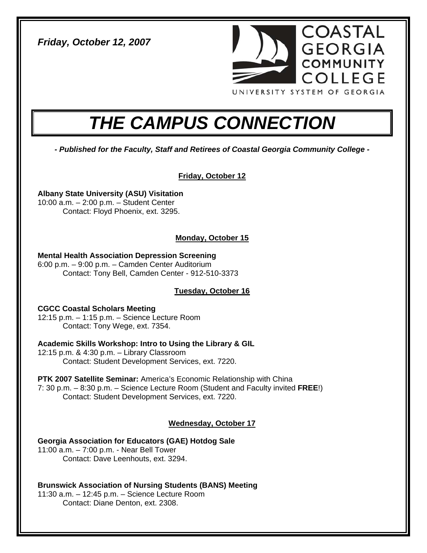*Friday, October 12, 2007* 



# *THE CAMPUS CONNECTION*

*- Published for the Faculty, Staff and Retirees of Coastal Georgia Community College -* 

# **Friday, October 12**

**Albany State University (ASU) Visitation**  10:00 a.m. – 2:00 p.m. – Student Center Contact: Floyd Phoenix, ext. 3295.

# **Monday, October 15**

**Mental Health Association Depression Screening**  6:00 p.m. – 9:00 p.m. – Camden Center Auditorium Contact: Tony Bell, Camden Center - 912-510-3373

# **Tuesday, October 16**

**CGCC Coastal Scholars Meeting**  12:15 p.m. – 1:15 p.m. – Science Lecture Room Contact: Tony Wege, ext. 7354.

**Academic Skills Workshop: Intro to Using the Library & GIL**  12:15 p.m. & 4:30 p.m. – Library Classroom Contact: Student Development Services, ext. 7220.

**PTK 2007 Satellite Seminar:** America's Economic Relationship with China 7: 30 p.m. – 8:30 p.m. – Science Lecture Room (Student and Faculty invited **FREE**!) Contact: Student Development Services, ext. 7220.

# **Wednesday, October 17**

**Georgia Association for Educators (GAE) Hotdog Sale**  11:00 a.m. – 7:00 p.m. - Near Bell Tower Contact: Dave Leenhouts, ext. 3294.

**Brunswick Association of Nursing Students (BANS) Meeting**  11:30 a.m. – 12:45 p.m. – Science Lecture Room Contact: Diane Denton, ext. 2308.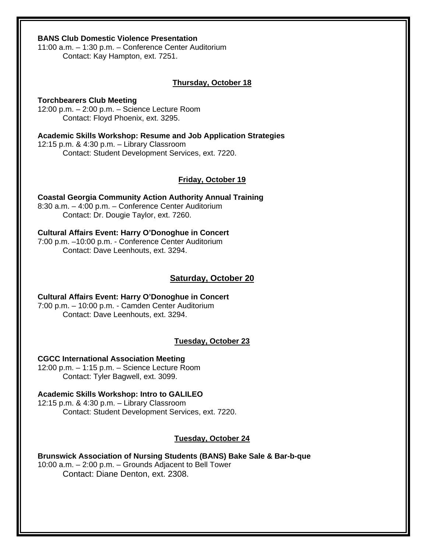#### **BANS Club Domestic Violence Presentation**

11:00 a.m. – 1:30 p.m. – Conference Center Auditorium Contact: Kay Hampton, ext. 7251.

#### **Thursday, October 18**

**Torchbearers Club Meeting**  12:00 p.m. – 2:00 p.m. – Science Lecture Room Contact: Floyd Phoenix, ext. 3295.

**Academic Skills Workshop: Resume and Job Application Strategies**  12:15 p.m. & 4:30 p.m. – Library Classroom Contact: Student Development Services, ext. 7220.

#### **Friday, October 19**

**Coastal Georgia Community Action Authority Annual Training**  8:30 a.m. – 4:00 p.m. – Conference Center Auditorium Contact: Dr. Dougie Taylor, ext. 7260.

#### **Cultural Affairs Event: Harry O'Donoghue in Concert**  7:00 p.m. –10:00 p.m. - Conference Center Auditorium Contact: Dave Leenhouts, ext. 3294.

#### **Saturday, October 20**

**Cultural Affairs Event: Harry O'Donoghue in Concert**  7:00 p.m. – 10:00 p.m. - Camden Center Auditorium Contact: Dave Leenhouts, ext. 3294.

#### **Tuesday, October 23**

**CGCC International Association Meeting** 

12:00 p.m. – 1:15 p.m. – Science Lecture Room Contact: Tyler Bagwell, ext. 3099.

#### **Academic Skills Workshop: Intro to GALILEO**

12:15 p.m. & 4:30 p.m. – Library Classroom Contact: Student Development Services, ext. 7220.

#### **Tuesday, October 24**

**Brunswick Association of Nursing Students (BANS) Bake Sale & Bar-b-que** 

10:00 a.m. – 2:00 p.m. – Grounds Adjacent to Bell Tower Contact: Diane Denton, ext. 2308.